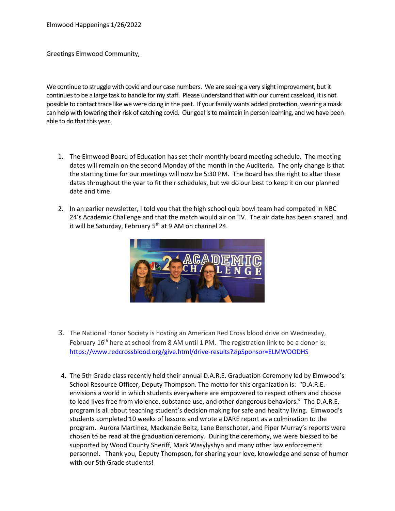Greetings Elmwood Community,

We continue to struggle with covid and our case numbers. We are seeing a very slight improvement, but it continues to be a large task to handle for my staff. Please understand that with our current caseload, it is not possible to contact trace like we were doing in the past. If your family wants added protection, wearing a mask can help with lowering their risk of catching covid. Our goal is to maintain in person learning, and we have been able to do that this year.

- 1. The Elmwood Board of Education has set their monthly board meeting schedule. The meeting dates will remain on the second Monday of the month in the Auditeria. The only change is that the starting time for our meetings will now be 5:30 PM. The Board has the right to altar these dates throughout the year to fit their schedules, but we do our best to keep it on our planned date and time.
- 2. In an earlier newsletter, I told you that the high school quiz bowl team had competed in NBC 24's Academic Challenge and that the match would air on TV. The air date has been shared, and it will be Saturday, February  $5<sup>th</sup>$  at 9 AM on channel 24.



- 3. The National Honor Society is hosting an American Red Cross blood drive on Wednesday, February 16<sup>th</sup> here at school from 8 AM until 1 PM. The registration link to be a donor is: <https://www.redcrossblood.org/give.html/drive-results?zipSponsor=ELMWOODHS>
- 4. The 5th Grade class recently held their annual D.A.R.E. Graduation Ceremony led by Elmwood's School Resource Officer, Deputy Thompson. The motto for this organization is: "D.A.R.E. envisions a world in which students everywhere are empowered to respect others and choose to lead lives free from violence, substance use, and other dangerous behaviors." The D.A.R.E. program is all about teaching student's decision making for safe and healthy living. Elmwood's students completed 10 weeks of lessons and wrote a DARE report as a culmination to the program. Aurora Martinez, Mackenzie Beltz, Lane Benschoter, and Piper Murray's reports were chosen to be read at the graduation ceremony. During the ceremony, we were blessed to be supported by Wood County Sheriff, Mark Wasylyshyn and many other law enforcement personnel. Thank you, Deputy Thompson, for sharing your love, knowledge and sense of humor with our 5th Grade students!